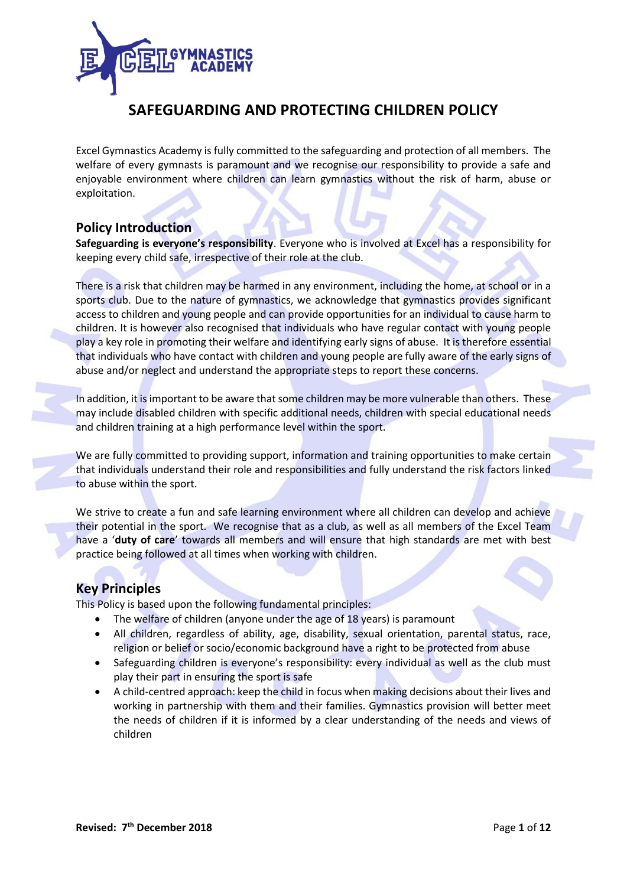

# **SAFEGUARDING AND PROTECTING CHILDREN POLICY**

Excel Gymnastics Academy is fully committed to the safeguarding and protection of all members. The welfare of every gymnasts is paramount and we recognise our responsibility to provide a safe and enjoyable environment where children can learn gymnastics without the risk of harm, abuse or exploitation.

## **Policy Introduction**

**Safeguarding is everyone's responsibility**. Everyone who is involved at Excel has a responsibility for keeping every child safe, irrespective of their role at the club.

There is a risk that children may be harmed in any environment, including the home, at school or in a sports club. Due to the nature of gymnastics, we acknowledge that gymnastics provides significant access to children and young people and can provide opportunities for an individual to cause harm to children. It is however also recognised that individuals who have regular contact with young people play a key role in promoting their welfare and identifying early signs of abuse. It is therefore essential that individuals who have contact with children and young people are fully aware of the early signs of abuse and/or neglect and understand the appropriate steps to report these concerns.

In addition, it is important to be aware that some children may be more vulnerable than others. These may include disabled children with specific additional needs, children with special educational needs and children training at a high performance level within the sport.

We are fully committed to providing support, information and training opportunities to make certain that individuals understand their role and responsibilities and fully understand the risk factors linked to abuse within the sport.

We strive to create a fun and safe learning environment where all children can develop and achieve their potential in the sport. We recognise that as a club, as well as all members of the Excel Team have a '**duty of care**' towards all members and will ensure that high standards are met with best practice being followed at all times when working with children.

## **Key Principles**

This Policy is based upon the following fundamental principles:

- The welfare of children (anyone under the age of 18 years) is paramount
- All children, regardless of ability, age, disability, sexual orientation, parental status, race, religion or belief or socio/economic background have a right to be protected from abuse
- Safeguarding children is everyone's responsibility: every individual as well as the club must play their part in ensuring the sport is safe
- A child-centred approach: keep the child in focus when making decisions about their lives and working in partnership with them and their families. Gymnastics provision will better meet the needs of children if it is informed by a clear understanding of the needs and views of children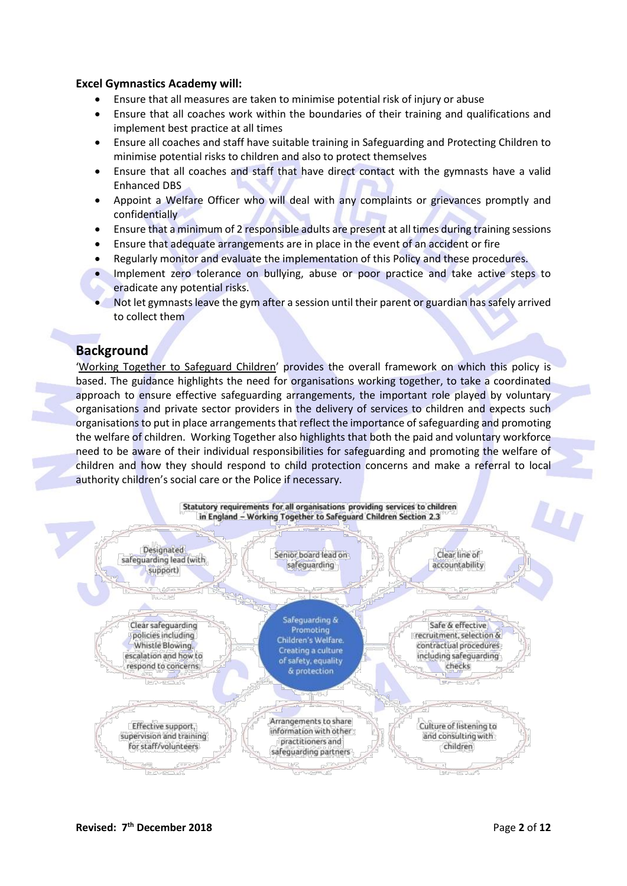#### **Excel Gymnastics Academy will:**

- Ensure that all measures are taken to minimise potential risk of injury or abuse
- Ensure that all coaches work within the boundaries of their training and qualifications and implement best practice at all times
- Ensure all coaches and staff have suitable training in Safeguarding and Protecting Children to minimise potential risks to children and also to protect themselves
- Ensure that all coaches and staff that have direct contact with the gymnasts have a valid Enhanced DBS
- Appoint a Welfare Officer who will deal with any complaints or grievances promptly and confidentially
- Ensure that a minimum of 2 responsible adults are present at all times during training sessions
- Ensure that adequate arrangements are in place in the event of an accident or fire
- Regularly monitor and evaluate the implementation of this Policy and these procedures.
- Implement zero tolerance on bullying, abuse or poor practice and take active steps to eradicate any potential risks.
- Not let gymnasts leave the gym after a session until their parent or guardian has safely arrived to collect them

## **Background**

'[Working Together to Safeguard Children](https://assets.publishing.service.gov.uk/government/uploads/system/uploads/attachment_data/file/729914/Working_Together_to_Safeguard_Children-2018.pdf)' provides the overall framework on which this policy is based. The guidance highlights the need for organisations working together, to take a coordinated approach to ensure effective safeguarding arrangements, the important role played by voluntary organisations and private sector providers in the delivery of services to children and expects such organisations to put in place arrangements that reflect the importance of safeguarding and promoting the welfare of children. Working Together also highlights that both the paid and voluntary workforce need to be aware of their individual responsibilities for safeguarding and promoting the welfare of children and how they should respond to child protection concerns and make a referral to local authority children's social care or the Police if necessary.

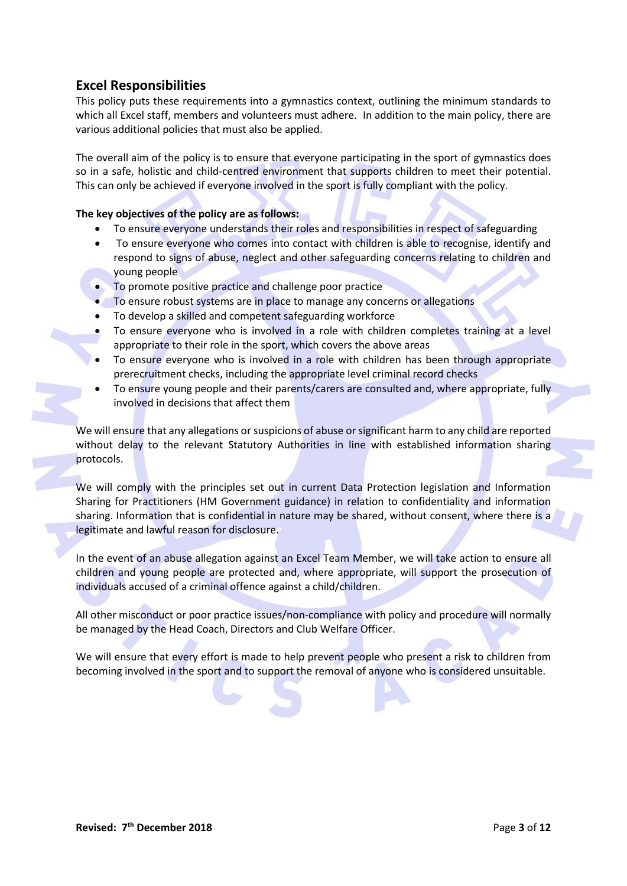# **Excel Responsibilities**

This policy puts these requirements into a gymnastics context, outlining the minimum standards to which all Excel staff, members and volunteers must adhere. In addition to the main policy, there are various additional policies that must also be applied.

The overall aim of the policy is to ensure that everyone participating in the sport of gymnastics does so in a safe, holistic and child-centred environment that supports children to meet their potential. This can only be achieved if everyone involved in the sport is fully compliant with the policy.

#### **The key objectives of the policy are as follows:**

- To ensure everyone understands their roles and responsibilities in respect of safeguarding
- To ensure everyone who comes into contact with children is able to recognise, identify and respond to signs of abuse, neglect and other safeguarding concerns relating to children and young people
- To promote positive practice and challenge poor practice
- To ensure robust systems are in place to manage any concerns or allegations
- To develop a skilled and competent safeguarding workforce
- To ensure everyone who is involved in a role with children completes training at a level appropriate to their role in the sport, which covers the above areas
- To ensure everyone who is involved in a role with children has been through appropriate prerecruitment checks, including the appropriate level criminal record checks
- To ensure young people and their parents/carers are consulted and, where appropriate, fully involved in decisions that affect them

We will ensure that any allegations or suspicions of abuse or significant harm to any child are reported without delay to the relevant Statutory Authorities in line with established information sharing protocols.

We will comply with the principles set out in current Data Protection legislation and Information Sharing for Practitioners (HM Government guidance) in relation to confidentiality and information sharing. Information that is confidential in nature may be shared, without consent, where there is a legitimate and lawful reason for disclosure.

In the event of an abuse allegation against an Excel Team Member, we will take action to ensure all children and young people are protected and, where appropriate, will support the prosecution of individuals accused of a criminal offence against a child/children.

All other misconduct or poor practice issues/non-compliance with policy and procedure will normally be managed by the Head Coach, Directors and Club Welfare Officer.

We will ensure that every effort is made to help prevent people who present a risk to children from becoming involved in the sport and to support the removal of anyone who is considered unsuitable.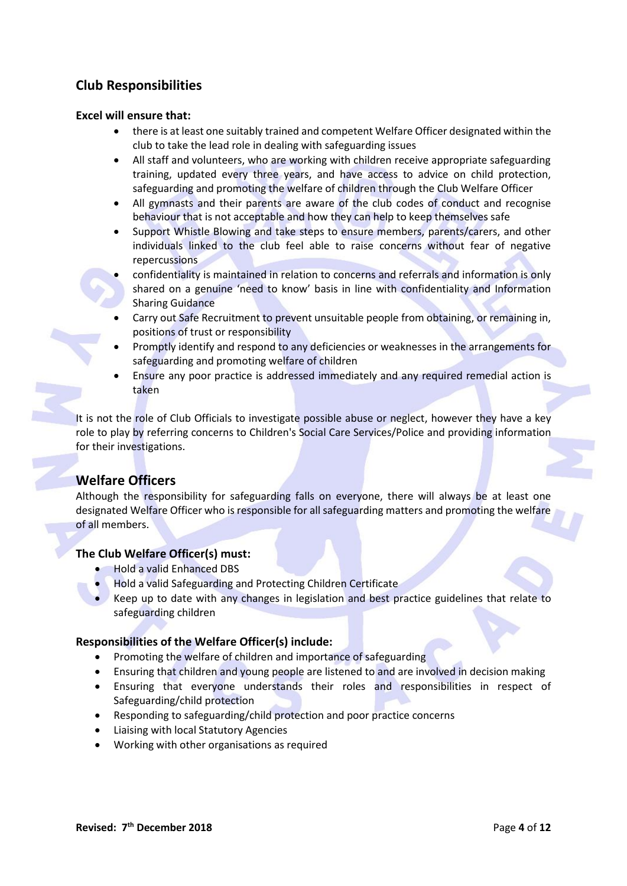# **Club Responsibilities**

#### **Excel will ensure that:**

- there is at least one suitably trained and competent Welfare Officer designated within the club to take the lead role in dealing with safeguarding issues
- All staff and volunteers, who are working with children receive appropriate safeguarding training, updated every three years, and have access to advice on child protection, safeguarding and promoting the welfare of children through the Club Welfare Officer
- All gymnasts and their parents are aware of the club codes of conduct and recognise behaviour that is not acceptable and how they can help to keep themselves safe
- Support Whistle Blowing and take steps to ensure members, parents/carers, and other individuals linked to the club feel able to raise concerns without fear of negative repercussions
	- confidentiality is maintained in relation to concerns and referrals and information is only shared on a genuine 'need to know' basis in line with confidentiality and Information Sharing Guidance
- Carry out Safe Recruitment to prevent unsuitable people from obtaining, or remaining in, positions of trust or responsibility
- Promptly identify and respond to any deficiencies or weaknesses in the arrangements for safeguarding and promoting welfare of children
- Ensure any poor practice is addressed immediately and any required remedial action is taken

It is not the role of Club Officials to investigate possible abuse or neglect, however they have a key role to play by referring concerns to Children's Social Care Services/Police and providing information for their investigations.

## **Welfare Officers**

Although the responsibility for safeguarding falls on everyone, there will always be at least one designated Welfare Officer who is responsible for all safeguarding matters and promoting the welfare of all members.

#### **The Club Welfare Officer(s) must:**

- Hold a valid Enhanced DBS
- Hold a valid Safeguarding and Protecting Children Certificate
- Keep up to date with any changes in legislation and best practice guidelines that relate to safeguarding children

#### **Responsibilities of the Welfare Officer(s) include:**

- Promoting the welfare of children and importance of safeguarding
- Ensuring that children and young people are listened to and are involved in decision making
- Ensuring that everyone understands their roles and responsibilities in respect of Safeguarding/child protection
- Responding to safeguarding/child protection and poor practice concerns
- Liaising with local Statutory Agencies
- Working with other organisations as required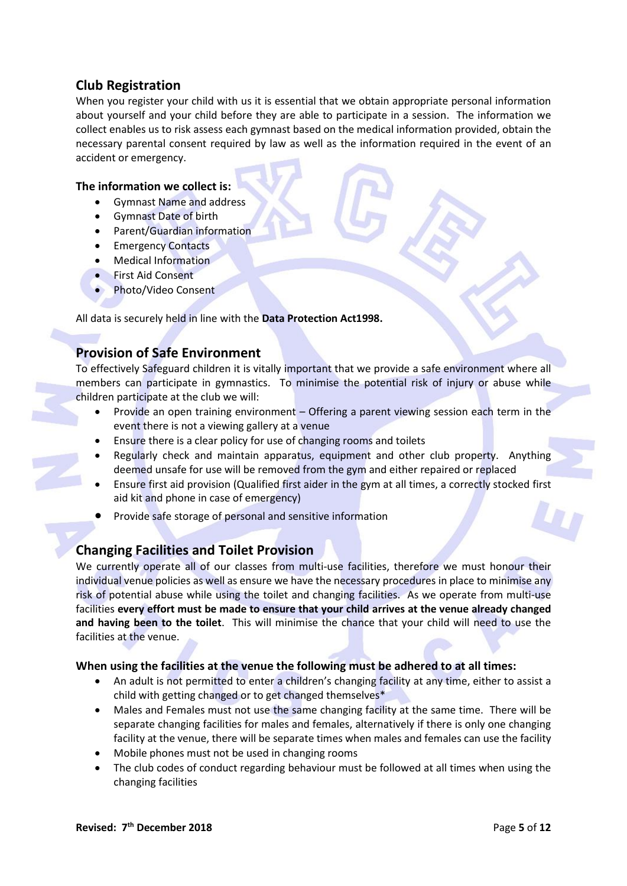# **Club Registration**

When you register your child with us it is essential that we obtain appropriate personal information about yourself and your child before they are able to participate in a session. The information we collect enables us to risk assess each gymnast based on the medical information provided, obtain the necessary parental consent required by law as well as the information required in the event of an accident or emergency.

#### **The information we collect is:**

- Gymnast Name and address
- Gymnast Date of birth
- Parent/Guardian information
- Emergency Contacts
- Medical Information
- First Aid Consent
- Photo/Video Consent

All data is securely held in line with the **Data Protection Act1998.**

# **Provision of Safe Environment**

To effectively Safeguard children it is vitally important that we provide a safe environment where all members can participate in gymnastics. To minimise the potential risk of injury or abuse while children participate at the club we will:

- Provide an open training environment Offering a parent viewing session each term in the event there is not a viewing gallery at a venue
- Ensure there is a clear policy for use of changing rooms and toilets
- Regularly check and maintain apparatus, equipment and other club property. Anything deemed unsafe for use will be removed from the gym and either repaired or replaced
- Ensure first aid provision (Qualified first aider in the gym at all times, a correctly stocked first aid kit and phone in case of emergency)
- Provide safe storage of personal and sensitive information

# **Changing Facilities and Toilet Provision**

We currently operate all of our classes from multi-use facilities, therefore we must honour their individual venue policies as well as ensure we have the necessary procedures in place to minimise any risk of potential abuse while using the toilet and changing facilities. As we operate from multi-use facilities **every effort must be made to ensure that your child arrives at the venue already changed and having been to the toilet**. This will minimise the chance that your child will need to use the facilities at the venue.

### **When using the facilities at the venue the following must be adhered to at all times:**

- An adult is not permitted to enter a children's changing facility at any time, either to assist a child with getting changed or to get changed themselves\*
- Males and Females must not use the same changing facility at the same time. There will be separate changing facilities for males and females, alternatively if there is only one changing facility at the venue, there will be separate times when males and females can use the facility
- Mobile phones must not be used in changing rooms
- The club codes of conduct regarding behaviour must be followed at all times when using the changing facilities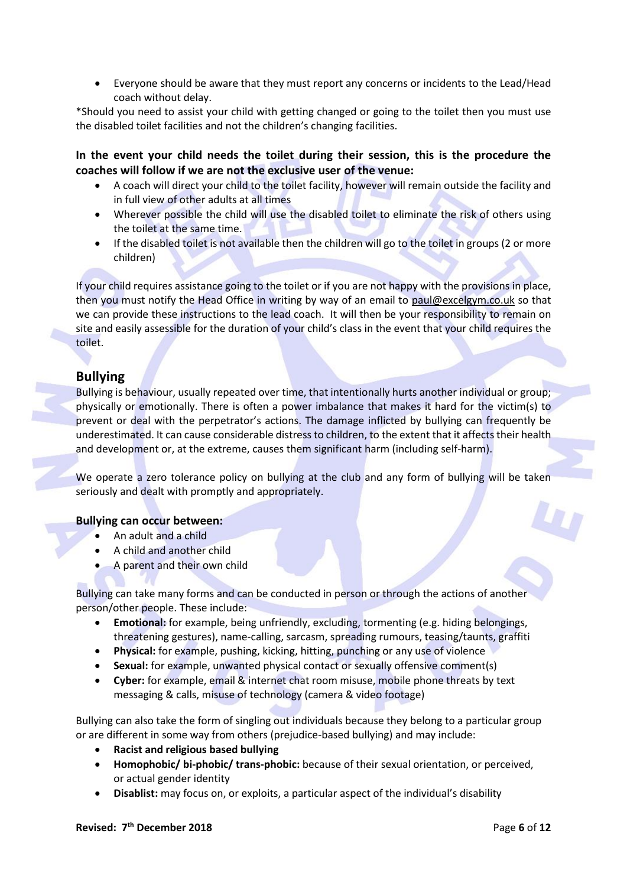• Everyone should be aware that they must report any concerns or incidents to the Lead/Head coach without delay.

\*Should you need to assist your child with getting changed or going to the toilet then you must use the disabled toilet facilities and not the children's changing facilities.

**In the event your child needs the toilet during their session, this is the procedure the coaches will follow if we are not the exclusive user of the venue:**

- A coach will direct your child to the toilet facility, however will remain outside the facility and in full view of other adults at all times
- Wherever possible the child will use the disabled toilet to eliminate the risk of others using the toilet at the same time.
- If the disabled toilet is not available then the children will go to the toilet in groups (2 or more children)

If your child requires assistance going to the toilet or if you are not happy with the provisions in place, then you must notify the Head Office in writing by way of an email to [paul@excelgym.co.uk](mailto:paul@excelgym.co.uk) so that we can provide these instructions to the lead coach. It will then be your responsibility to remain on site and easily assessible for the duration of your child's class in the event that your child requires the toilet.

# **Bullying**

Bullying is behaviour, usually repeated over time, that intentionally hurts another individual or group; physically or emotionally. There is often a power imbalance that makes it hard for the victim(s) to prevent or deal with the perpetrator's actions. The damage inflicted by bullying can frequently be underestimated. It can cause considerable distress to children, to the extent that it affects their health and development or, at the extreme, causes them significant harm (including self-harm).

We operate a zero tolerance policy on bullying at the club and any form of bullying will be taken seriously and dealt with promptly and appropriately.

#### **Bullying can occur between:**

- An adult and a child
- A child and another child
- A parent and their own child

Bullying can take many forms and can be conducted in person or through the actions of another person/other people. These include:

- **Emotional:** for example, being unfriendly, excluding, tormenting (e.g. hiding belongings, threatening gestures), name-calling, sarcasm, spreading rumours, teasing/taunts, graffiti
- **Physical:** for example, pushing, kicking, hitting, punching or any use of violence
- **Sexual:** for example, unwanted physical contact or sexually offensive comment(s)
- **Cyber:** for example, email & internet chat room misuse, mobile phone threats by text messaging & calls, misuse of technology (camera & video footage)

Bullying can also take the form of singling out individuals because they belong to a particular group or are different in some way from others (prejudice-based bullying) and may include:

- **Racist and religious based bullying**
- **Homophobic/ bi-phobic/ trans-phobic:** because of their sexual orientation, or perceived, or actual gender identity
- **Disablist:** may focus on, or exploits, a particular aspect of the individual's disability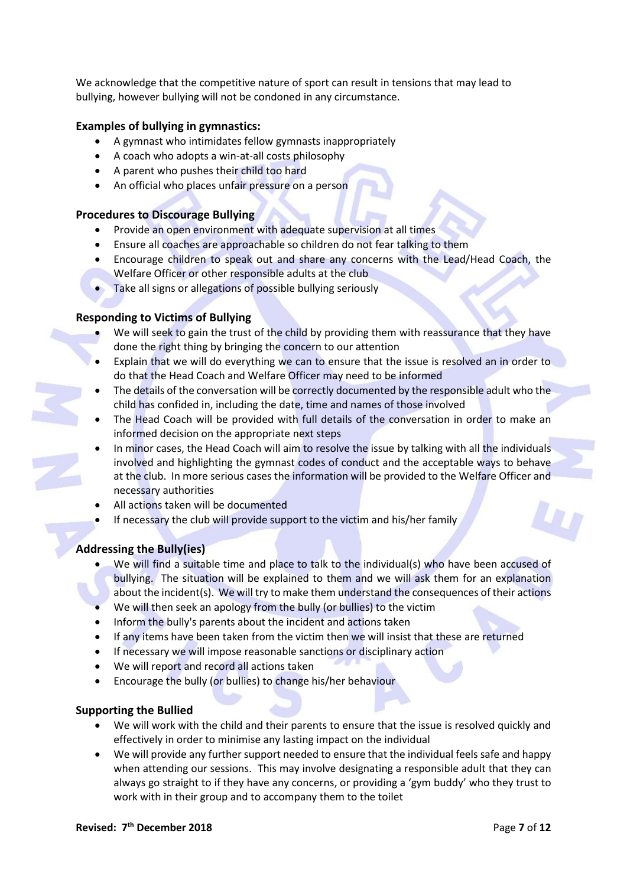We acknowledge that the competitive nature of sport can result in tensions that may lead to bullying, however bullying will not be condoned in any circumstance.

#### **Examples of bullying in gymnastics:**

- A gymnast who intimidates fellow gymnasts inappropriately
- A coach who adopts a win-at-all costs philosophy
- A parent who pushes their child too hard
- An official who places unfair pressure on a person

#### **Procedures to Discourage Bullying**

- Provide an open environment with adequate supervision at all times
- Ensure all coaches are approachable so children do not fear talking to them
- Encourage children to speak out and share any concerns with the Lead/Head Coach, the Welfare Officer or other responsible adults at the club
- Take all signs or allegations of possible bullying seriously

#### **Responding to Victims of Bullying**

- We will seek to gain the trust of the child by providing them with reassurance that they have done the right thing by bringing the concern to our attention
- Explain that we will do everything we can to ensure that the issue is resolved an in order to do that the Head Coach and Welfare Officer may need to be informed
- The details of the conversation will be correctly documented by the responsible adult who the child has confided in, including the date, time and names of those involved
- The Head Coach will be provided with full details of the conversation in order to make an informed decision on the appropriate next steps
- In minor cases, the Head Coach will aim to resolve the issue by talking with all the individuals involved and highlighting the gymnast codes of conduct and the acceptable ways to behave at the club. In more serious cases the information will be provided to the Welfare Officer and necessary authorities
- All actions taken will be documented
- If necessary the club will provide support to the victim and his/her family

### **Addressing the Bully(ies)**

- We will find a suitable time and place to talk to the individual(s) who have been accused of bullying. The situation will be explained to them and we will ask them for an explanation about the incident(s). We will try to make them understand the consequences of their actions
- We will then seek an apology from the bully (or bullies) to the victim
- Inform the bully's parents about the incident and actions taken
- If any items have been taken from the victim then we will insist that these are returned
- If necessary we will impose reasonable sanctions or disciplinary action
- We will report and record all actions taken
- Encourage the bully (or bullies) to change his/her behaviour

#### **Supporting the Bullied**

- We will work with the child and their parents to ensure that the issue is resolved quickly and effectively in order to minimise any lasting impact on the individual
- We will provide any further support needed to ensure that the individual feels safe and happy when attending our sessions. This may involve designating a responsible adult that they can always go straight to if they have any concerns, or providing a 'gym buddy' who they trust to work with in their group and to accompany them to the toilet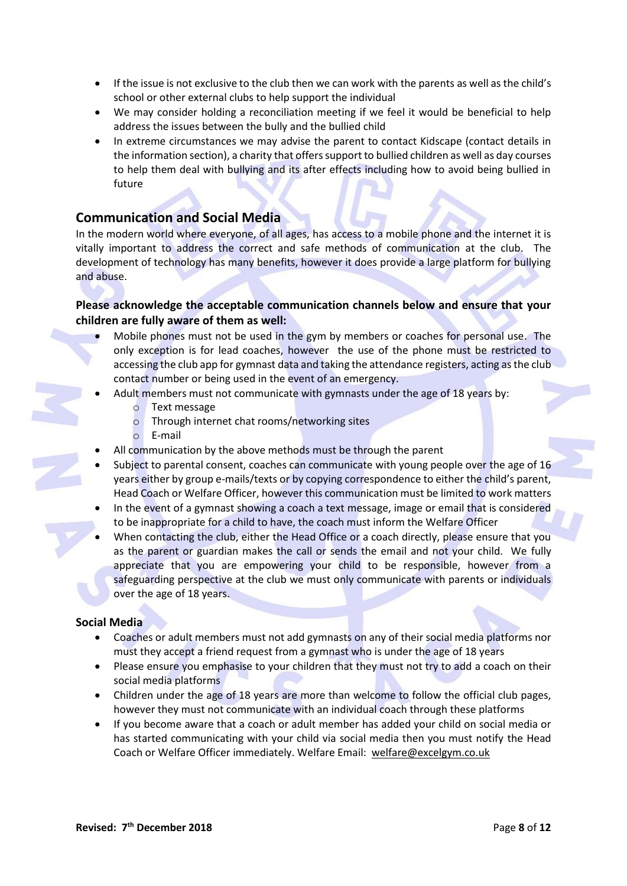- If the issue is not exclusive to the club then we can work with the parents as well as the child's school or other external clubs to help support the individual
- We may consider holding a reconciliation meeting if we feel it would be beneficial to help address the issues between the bully and the bullied child
- In extreme circumstances we may advise the parent to contact Kidscape (contact details in the information section), a charity that offers support to bullied children as well as day courses to help them deal with bullying and its after effects including how to avoid being bullied in future

## **Communication and Social Media**

In the modern world where everyone, of all ages, has access to a mobile phone and the internet it is vitally important to address the correct and safe methods of communication at the club. The development of technology has many benefits, however it does provide a large platform for bullying and abuse.

## **Please acknowledge the acceptable communication channels below and ensure that your children are fully aware of them as well:**

- Mobile phones must not be used in the gym by members or coaches for personal use. The only exception is for lead coaches, however the use of the phone must be restricted to accessing the club app for gymnast data and taking the attendance registers, acting as the club contact number or being used in the event of an emergency.
- Adult members must not communicate with gymnasts under the age of 18 years by:
	- o Text message
	- o Through internet chat rooms/networking sites
	- o E-mail
- All communication by the above methods must be through the parent
- Subject to parental consent, coaches can communicate with young people over the age of 16 years either by group e-mails/texts or by copying correspondence to either the child's parent, Head Coach or Welfare Officer, however this communication must be limited to work matters
- In the event of a gymnast showing a coach a text message, image or email that is considered to be inappropriate for a child to have, the coach must inform the Welfare Officer
- When contacting the club, either the Head Office or a coach directly, please ensure that you as the parent or guardian makes the call or sends the email and not your child. We fully appreciate that you are empowering your child to be responsible, however from a safeguarding perspective at the club we must only communicate with parents or individuals over the age of 18 years.

#### **Social Media**

- Coaches or adult members must not add gymnasts on any of their social media platforms nor must they accept a friend request from a gymnast who is under the age of 18 years
- Please ensure you emphasise to your children that they must not try to add a coach on their social media platforms
- Children under the age of 18 years are more than welcome to follow the official club pages, however they must not communicate with an individual coach through these platforms
- If you become aware that a coach or adult member has added your child on social media or has started communicating with your child via social media then you must notify the Head Coach or Welfare Officer immediately. Welfare Email: [welfare@excelgym.co.uk](mailto:welfare@excelgym.co.uk)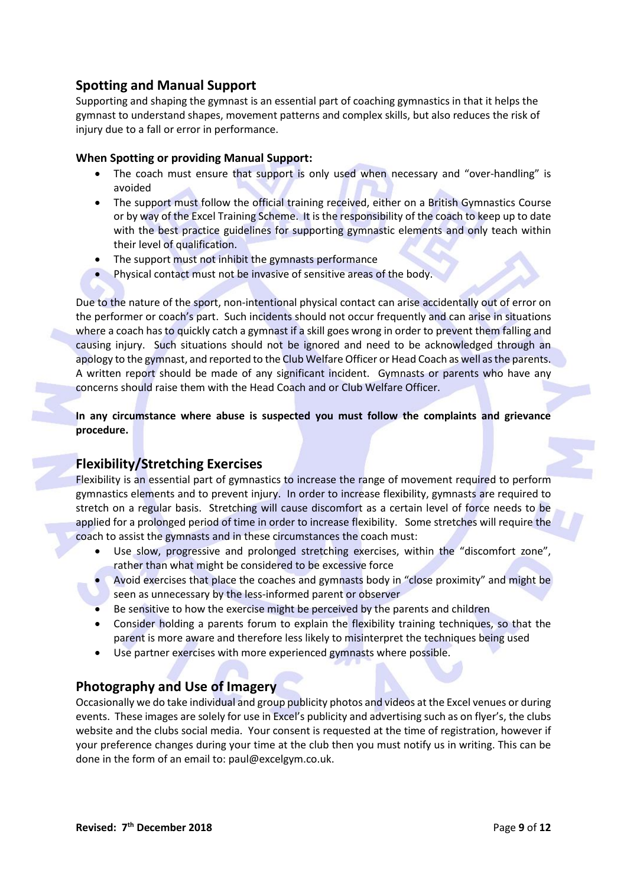# **Spotting and Manual Support**

Supporting and shaping the gymnast is an essential part of coaching gymnastics in that it helps the gymnast to understand shapes, movement patterns and complex skills, but also reduces the risk of injury due to a fall or error in performance.

#### **When Spotting or providing Manual Support:**

- The coach must ensure that support is only used when necessary and "over-handling" is avoided
- The support must follow the official training received, either on a British Gymnastics Course or by way of the Excel Training Scheme. It is the responsibility of the coach to keep up to date with the best practice guidelines for supporting gymnastic elements and only teach within their level of qualification.
- The support must not inhibit the gymnasts performance
- Physical contact must not be invasive of sensitive areas of the body.

Due to the nature of the sport, non-intentional physical contact can arise accidentally out of error on the performer or coach's part. Such incidents should not occur frequently and can arise in situations where a coach has to quickly catch a gymnast if a skill goes wrong in order to prevent them falling and causing injury. Such situations should not be ignored and need to be acknowledged through an apology to the gymnast, and reported to the Club Welfare Officer or Head Coach as well as the parents. A written report should be made of any significant incident. Gymnasts or parents who have any concerns should raise them with the Head Coach and or Club Welfare Officer.

**In any circumstance where abuse is suspected you must follow the complaints and grievance procedure.**

# **Flexibility/Stretching Exercises**

Flexibility is an essential part of gymnastics to increase the range of movement required to perform gymnastics elements and to prevent injury. In order to increase flexibility, gymnasts are required to stretch on a regular basis. Stretching will cause discomfort as a certain level of force needs to be applied for a prolonged period of time in order to increase flexibility. Some stretches will require the coach to assist the gymnasts and in these circumstances the coach must:

- Use slow, progressive and prolonged stretching exercises, within the "discomfort zone", rather than what might be considered to be excessive force
- Avoid exercises that place the coaches and gymnasts body in "close proximity" and might be seen as unnecessary by the less-informed parent or observer
- Be sensitive to how the exercise might be perceived by the parents and children
- Consider holding a parents forum to explain the flexibility training techniques, so that the parent is more aware and therefore less likely to misinterpret the techniques being used
- Use partner exercises with more experienced gymnasts where possible.

## **Photography and Use of Imagery**

Occasionally we do take individual and group publicity photos and videos at the Excel venues or during events. These images are solely for use in Excel's publicity and advertising such as on flyer's, the clubs website and the clubs social media. Your consent is requested at the time of registration, however if your preference changes during your time at the club then you must notify us in writing. This can be done in the form of an email to: paul@excelgym.co.uk.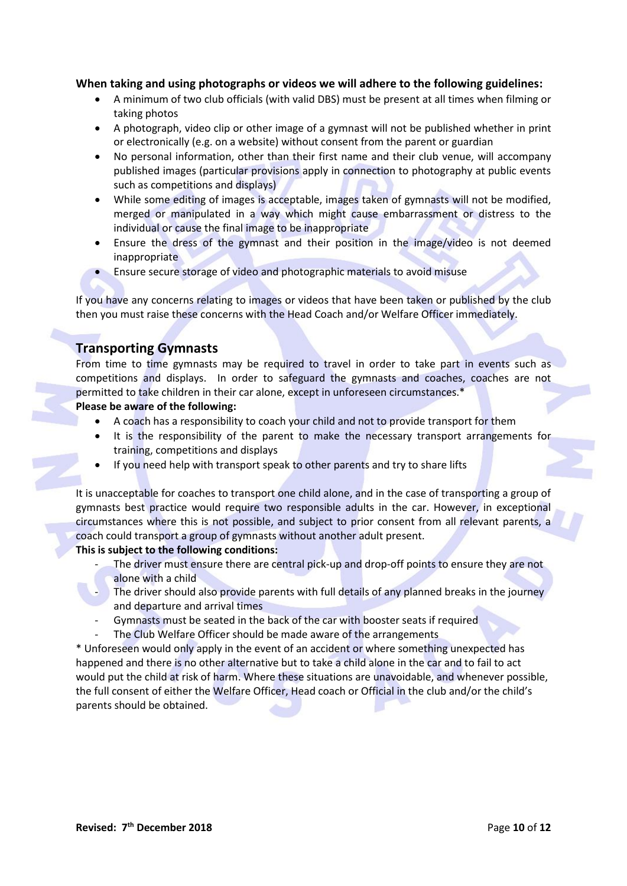#### **When taking and using photographs or videos we will adhere to the following guidelines:**

- A minimum of two club officials (with valid DBS) must be present at all times when filming or taking photos
- A photograph, video clip or other image of a gymnast will not be published whether in print or electronically (e.g. on a website) without consent from the parent or guardian
- No personal information, other than their first name and their club venue, will accompany published images (particular provisions apply in connection to photography at public events such as competitions and displays)
- While some editing of images is acceptable, images taken of gymnasts will not be modified, merged or manipulated in a way which might cause embarrassment or distress to the individual or cause the final image to be inappropriate
- Ensure the dress of the gymnast and their position in the image/video is not deemed inappropriate
- Ensure secure storage of video and photographic materials to avoid misuse

If you have any concerns relating to images or videos that have been taken or published by the club then you must raise these concerns with the Head Coach and/or Welfare Officer immediately.

## **Transporting Gymnasts**

From time to time gymnasts may be required to travel in order to take part in events such as competitions and displays. In order to safeguard the gymnasts and coaches, coaches are not permitted to take children in their car alone, except in unforeseen circumstances.\*

#### **Please be aware of the following:**

- A coach has a responsibility to coach your child and not to provide transport for them
- It is the responsibility of the parent to make the necessary transport arrangements for training, competitions and displays
- If you need help with transport speak to other parents and try to share lifts

It is unacceptable for coaches to transport one child alone, and in the case of transporting a group of gymnasts best practice would require two responsible adults in the car. However, in exceptional circumstances where this is not possible, and subject to prior consent from all relevant parents, a coach could transport a group of gymnasts without another adult present.

#### **This is subject to the following conditions:**

- The driver must ensure there are central pick-up and drop-off points to ensure they are not alone with a child
- The driver should also provide parents with full details of any planned breaks in the journey and departure and arrival times
- Gymnasts must be seated in the back of the car with booster seats if required
- The Club Welfare Officer should be made aware of the arrangements

\* Unforeseen would only apply in the event of an accident or where something unexpected has happened and there is no other alternative but to take a child alone in the car and to fail to act would put the child at risk of harm. Where these situations are unavoidable, and whenever possible, the full consent of either the Welfare Officer, Head coach or Official in the club and/or the child's parents should be obtained.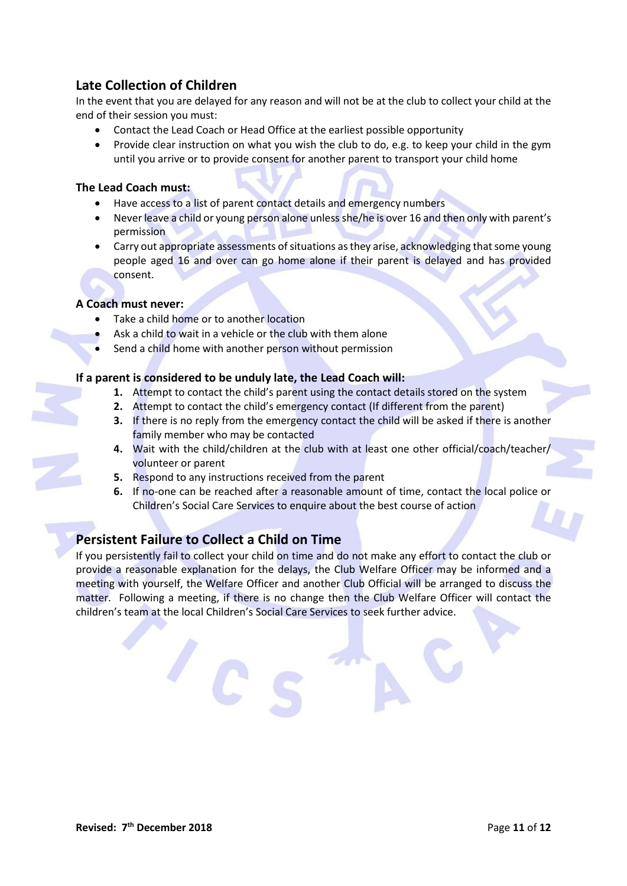# **Late Collection of Children**

In the event that you are delayed for any reason and will not be at the club to collect your child at the end of their session you must:

- Contact the Lead Coach or Head Office at the earliest possible opportunity
- Provide clear instruction on what you wish the club to do, e.g. to keep your child in the gym until you arrive or to provide consent for another parent to transport your child home

#### **The Lead Coach must:**

- Have access to a list of parent contact details and emergency numbers
- Never leave a child or young person alone unless she/he is over 16 and then only with parent's permission
- Carry out appropriate assessments of situations as they arise, acknowledging that some young people aged 16 and over can go home alone if their parent is delayed and has provided consent.

#### **A Coach must never:**

- Take a child home or to another location
- Ask a child to wait in a vehicle or the club with them alone
- Send a child home with another person without permission

#### **If a parent is considered to be unduly late, the Lead Coach will:**

- **1.** Attempt to contact the child's parent using the contact details stored on the system
- **2.** Attempt to contact the child's emergency contact (If different from the parent)
- **3.** If there is no reply from the emergency contact the child will be asked if there is another family member who may be contacted
- **4.** Wait with the child/children at the club with at least one other official/coach/teacher/ volunteer or parent
- **5.** Respond to any instructions received from the parent
- **6.** If no-one can be reached after a reasonable amount of time, contact the local police or Children's Social Care Services to enquire about the best course of action

# **Persistent Failure to Collect a Child on Time**

If you persistently fail to collect your child on time and do not make any effort to contact the club or provide a reasonable explanation for the delays, the Club Welfare Officer may be informed and a meeting with yourself, the Welfare Officer and another Club Official will be arranged to discuss the matter. Following a meeting, if there is no change then the Club Welfare Officer will contact the children's team at the local Children's Social Care Services to seek further advice.